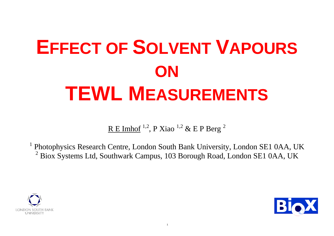1

# **EFFECT OF SOLVENT VAPOURS ON TEWL MEASUREMENTS**

R E Imhof  $^{1,2}$ , P Xiao  $^{1,2}$  & E P Berg  $^2$ 

1 Photophysics Research Centre, London South Bank University, London SE1 0AA, UK  $2$  Biox Systems Ltd, Southwark Campus, 103 Borough Road, London SE1 0AA, UK







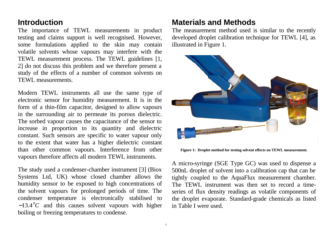# **Introduction**

The importance of TEWL measurements in product testing and claims support is well recognised. However, some formulations applied to the skin may contain volatile solvents whose vapours may interfere with the TEWL measurement process. The TEWL guidelines [1, 2] do not discuss this problem and we therefore present a study of the effects of a number of common solvents on TEWL measurements.

Modern TEWL instruments all use the same type of electronic sensor for humidity measurement. It is in the form of a thin-film capacitor, designed to allow vapours in the surrounding air to permeate its porous dielectric. The sorbed vapour causes the capacitance of the sensor to increase in proportion to its quantity and dielectric constant. Such sensors are specific to water vapour only to the extent that water has a higher dielectric constant than other common vapours. Interference from other vapours therefore affects all modern TEWL instruments.

The study used a condenser-chamber instrument [3] (Biox Systems Ltd, UK) whose closed chamber allows the humidity sensor to be exposed to high concentrations of the solvent vapours for prolonged periods of time. The condenser temperature is electronically stabilised to  $-13.4\degree C$  and this causes solvent vapours with higher boiling or freezing temperatures to condense.

## **Materials and Methods** The measurement method used is similar to the recently developed droplet calibration technique for TEWL [4], as

illustrated in Figure 1.



**Figure 1: Droplet method for testing solvent effects on TEWL measurement.**

A micro-syringe (SGE Type GC) was used to dispense a 500nL droplet of solvent into a calibration cap that can be tightly coupled to the AquaFlux measurement chamber. The TEWL instrument was then set to record a timeseries of flux density readings as volatile components of the droplet evaporate. Standard-grade chemicals as listed in Table I were used.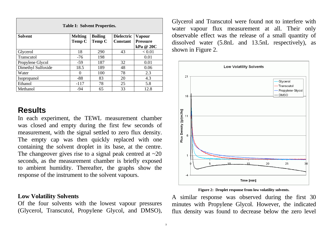| <b>Table I: Solvent Properties.</b> |                |                |                   |                 |
|-------------------------------------|----------------|----------------|-------------------|-----------------|
| <b>Solvent</b>                      | <b>Melting</b> | <b>Boiling</b> | <b>Dielectric</b> | <b>Vapour</b>   |
|                                     | <b>Temp C</b>  | <b>Temp C</b>  | <b>Constant</b>   | <b>Pressure</b> |
|                                     |                |                |                   | kPa @ 20C       |
| Glycerol                            | 18             | 290            | 43                | < 0.01          |
| <b>Transcutol</b>                   | $-76$          | 198            |                   | 0.01            |
| Propylene Glycol                    | $-59$          | 187            | 32                | 0.01            |
| Dimethyl Sulfoxide                  | 18.5           | 189            | 48                | 0.06            |
| Water                               | $\theta$       | 100            | 78                | 2.3             |
| <i>Isopropanol</i>                  | $-88$          | 83             | 20                | 4.3             |
| Ethanol                             | $-117$         | 78             | 25                | 5.8             |
| Methanol                            | $-94$          | 65             | 33                | 12.8            |

# **Results**

In each experiment, the TEWL measurement chamber was closed and empty during the first few seconds of measurement, with the signal settled to zero flux density. The empty cap was then quickly replaced with one containing the solvent droplet in its base, at the centre. The changeover gives rise to a signal peak centred at  $\sim 20$ seconds, as the measurement chamber is briefly exposed to ambient humidity. Thereafter, the graphs show the response of the instrument to the solvent vapours.

### **Low Volatility Solvents**

Of the four solvents with the lowest vapour pressures (Glycerol, Transcutol, Propylene Glycol, and DMSO),

Glycerol and Transcutol were found not to interfere with water vapour flux measurement at all. Their only observable effect was the release of a small quantity of dissolved water (5.8nL and 13.5nL respectively), as shown in Figure 2.



### **Figure 2: Droplet response from low volatility solvents.**

A similar response was observed during the first 30 minutes with Propylene Glycol. However, the indicated flux density was found to decrease below the zero level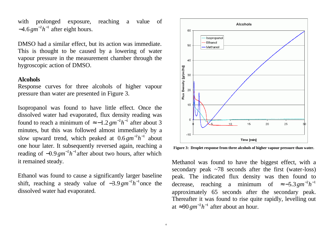with prolonged exposure, reaching a value of  $-4.6$   $gm^{-2}h^{-1}$  after eight hours.

DMSO had a similar effect, but its action was immediate. This is thought to be caused by a lowering of water vapour pressure in the measurement chamber through the hygroscopic action of DMSO.

### **Alcohols**

Response curves for three alcohols of higher vapour pressure than water are presented in Figure 3.

> Methanol was found to have the biggest effect, with a secondary peak  $\sim$ 78 seconds after the first (water-loss) peak. The indicated flux density was then found to decrease, reaching a minimum of  $\approx -5.3 \text{ gm}^{-2} h^{-1}$ approximately 65 seconds after the secondary peak. Thereafter it was found to rise quite rapidly, levelling out at ≈90 *gm*<sup>-2</sup>*h*<sup>-1</sup> after about an hour.

Isopropanol was found to have little effect. Once the dissolved water had evaporated, flux density reading was found to reach a minimum of  $\approx -1.2$  *gm*<sup>-2</sup>h<sup>-1</sup> after about 3 minutes, but this was followed almost immediately by a slow upward trend, which peaked at  $0.6 \text{ gm}^{-2} h^{-1}$  about one hour later. It subsequently reversed again, reaching a reading of  $-0.9$   $gm^{-2}h^{-1}$  after about two hours, after which it remained steady.

Ethanol was found to cause a significantly larger baseline shift, reaching a steady value of  $-3.9 \text{ gm}^{-2} h^{-1}$  once the dissolved water had evaporated.



**Figure 3: Droplet response from three alcohols of higher vapour pressure than water.**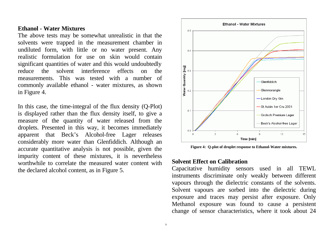### **Ethanol - Water Mixtures**

The above tests may be somewhat unrealistic in that the solvents were trapped in the measurement chamber in undiluted form, with little or no water present. Any realistic formulation for use on skin would contain significant quantities of water and this would undoubtedly reduce the solvent interference effects on the measurements. This was tested with a number of commonly available ethanol - water mixtures, as shown in Figure 4.

In this case, the time-integral of the flux density (Q-Plot) is displayed rather than the flux density itself, to give a measure of the quantity of water released from the droplets. Presented in this way, it becomes immediately apparent that Beck's Alcohol-free Lager releases considerably more water than Glenfiddich. Although an accurate quantitative analysis is not possible, given the impurity content of these mixtures, it is nevertheless worthwhile to correlate the measured water content with the declared alcohol content, as in Figure 5.



**Figure 4: Q-plot of droplet response to Ethanol-Water mixtures.**

### **Solvent Effect on Calibration**

Capacitative humidity sensors used in all TEWL instruments discriminate only weakly between different vapours through the dielectric constants of the solvents. Solvent vapours are sorbed into the dielectric during exposure and traces may persist after exposure. Only Methanol exposure was found to cause a persistent change of sensor characteristics, where it took about 24